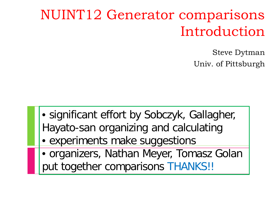## NUINT12 Generator comparisons Introduction

Steve Dytman Univ. of Pittsburgh

- significant effort by Sobczyk, Gallagher, Hayato-san organizing and calculating
- experiments make suggestions
- organizers, Nathan Meyer, Tomasz Golan put together comparisons THANKS!!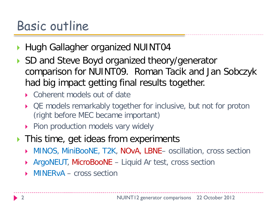## Basic outline

- **Hugh Gallagher organized NUINT04**
- ▶ SD and Steve Boyd organized theory/generator comparison for NUINT09. Roman Tacik and Jan Sobczyk had big impact getting final results together.
	- ▶ Coherent models out of date
	- ▶ QE models remarkably together for inclusive, but not for proton (right before MEC became important)
	- Pion production models vary widely
- **This time, get ideas from experiments** 
	- ▶ MINOS, MiniBooNE, T2K, NOvA, LBNE– oscillation, cross section
	- ArgoNEUT, MicroBooNE Liquid Ar test, cross section
	- MINERvA cross section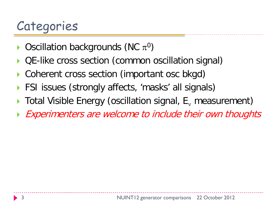# Categories

- $\triangleright$  Oscillation backgrounds (NC  $\pi^0$ )
- QE-like cross section (common oscillation signal)
- Coherent cross section (important osc bkgd)
- FSI issues (strongly affects, 'masks' all signals)
- Total Visible Energy (oscillation signal, E<sub>v</sub> measurement)
- **Experimenters are welcome to include their own thoughts**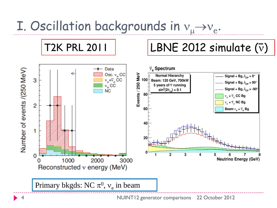# I. Oscillation backgrounds in  $v_{\mu} \rightarrow v_{e}$ .



#### T2K PRL 2011 | LBNE 2012 simulate  $(\bar{v})$

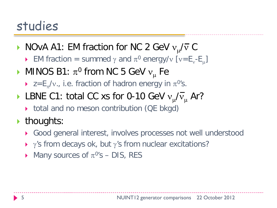- NOvA A1: EM fraction for NC 2 GeV  $v_{\mu}/\overline{v}$  C
	- EM fraction = summed  $\gamma$  and  $\pi^0$  energy/v [v=E<sub>v</sub>-E<sub>u</sub>]
- MINOS B1:  $\pi^0$  from NC 5 GeV  $v_\mu$  Fe
	- $\triangleright$  z=E<sub>π</sub>/v., i.e. fraction of hadron energy in  $\pi^{0}$ 's.
- LBNE C1: total CC xs for 0-10 GeV  $v_{\mu}/\overline{v}_{\mu}$  Ar?
	- total and no meson contribution (QE bkgd)
- $\blacktriangleright$  thoughts:
	- Good general interest, involves processes not well understood
	- $\rightarrow$   $\gamma$ 's from decays ok, but  $\gamma$ 's from nuclear excitations?
	- Many sources of  $\pi^{0}$ 's DIS, RES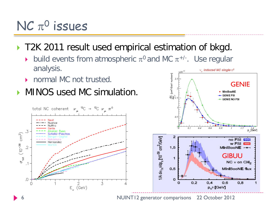### $NC \pi^0$  issues

#### T2K 2011 result used empirical estimation of bkgd.

- build events from atmospheric  $\pi^0$  and MC  $\pi^{+/-}$ . Use regular analysis. v. induced NC single  $\pi^0$
- **DEDITION MC not trusted.**
- **MINOS used MC simulation.**



6 NUINT12 generator comparisons 22 October 2012

 $2.5$ 

**GENIE** 

• MiniBooNE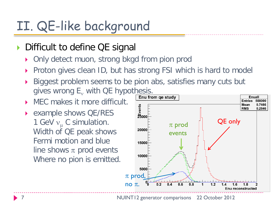## II. QE-like background

#### Difficult to define QE signal

- Only detect muon, strong bkgd from pion prod
- Proton gives clean ID, but has strong FSI which is hard to model
- Biggest problem seems to be pion abs, satisfies many cuts but gives wrong  $E_v$  with QE hypothesis.
- **MEC** makes it more difficult.
- example shows QE/RES 1 GeV  $v_{\mu}$  C simulation. Width of QE peak shows Fermi motion and blue line shows  $\pi$  prod events Where no pion is emitted.

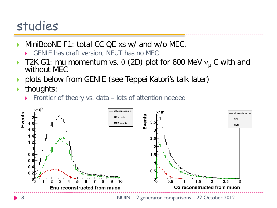- MiniBooNE F1: total CC QE xs w/ and w/o MEC.
	- GENIE has draft version, NEUT has no MEC
- T2K G1: mu momentum vs.  $\theta$  (2D) plot for 600 MeV  $v_\mu$  C with and without MEC
- **Polots below from GENIE (see Teppei Katori's talk later)**
- $\blacktriangleright$  thoughts:
	- Frontier of theory vs. data lots of attention needed

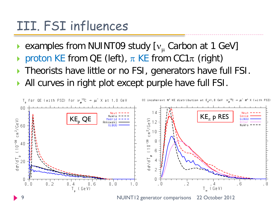### III. FSI influences

- examples from NUINT09 study  $[v_\mu]$  Carbon at 1 GeV]
- proton KE from QE (left),  $\pi$  KE from CC1 $\pi$  (right)
- ▶ Theorists have little or no FSI, generators have full FSI.
- All curves in right plot except purple have full FSI.

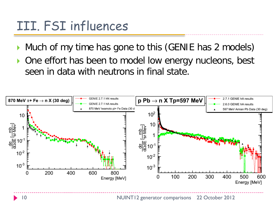## III. FSI influences

- Much of my time has gone to this (GENIE has 2 models)
- One effort has been to model low energy nucleons, best seen in data with neutrons in final state.

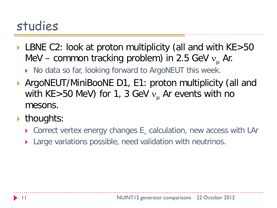▶ LBNE C2: look at proton multiplicity (all and with KE>50 MeV – common tracking problem) in 2.5 GeV  $v_{\mu}$  Ar.

▶ No data so far, looking forward to ArgoNEUT this week.

- ▶ ArgoNEUT/MiniBooNE D1, E1: proton multiplicity (all and with KE>50 MeV) for 1, 3 GeV  $v_{\mu}$  Ar events with no mesons.
- $\blacktriangleright$  thoughts:
	- Correct vertex energy changes  $E_v$  calculation, new access with LAr
	- Large variations possible, need validation with neutrinos.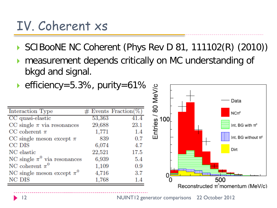## IV. Coherent xs

- SCIBooNE NC Coherent (Phys Rev D 81, 111102(R) (2010))
- measurement depends critically on MC understanding of bkgd and signal.
- 

| • efficiency=5.3%, purity=61%    |        |                        | 80 MeV/c        |
|----------------------------------|--------|------------------------|-----------------|
| Interaction Type                 |        | $#$ Events Fraction(%) |                 |
| CC quasi-elastic                 | 53,363 | 41.4                   |                 |
| CC single $\pi$ via resonances   | 29,688 | 23.1                   | Entie <u>so</u> |
| CC coherent $\pi$                | 1,771  | 1.4                    |                 |
| CC single meson except $\pi$     | 839    | 0.7                    |                 |
| CC DIS                           | 6,074  | 4.7                    |                 |
| NC elastic                       | 22,521 | 17.5                   |                 |
| NC single $\pi^0$ via resonances | 6,939  | 5.4                    |                 |
| NC coherent $\pi^0$              | 1,109  | 0.9                    |                 |
| NC single meson except $\pi^0$   | 4,716  | 3.7                    |                 |
| NC DIS                           | 1,768  | 1.4                    |                 |

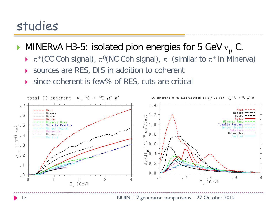MINERvA H3-5: isolated pion energies for 5 GeV  $v_{\mu}$  C.

- $\triangleright$   $\pi^+$ (CC Coh signal),  $\pi^0$ (NC Coh signal),  $\pi^-$  (similar to  $\pi^+$  in Minerva)
- ▶ sources are RES, DIS in addition to coherent
- ▶ since coherent is few% of RES, cuts are critical

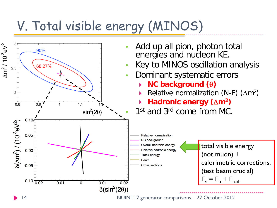# V. Total visible energy (MINOS)

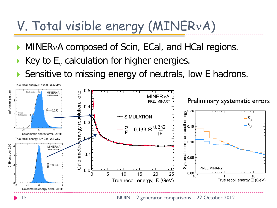# V. Total visible energy (MINERνA)

- **MINERvA composed of Scin, ECal, and HCal regions.**
- Key to  $E_v$  calculation for higher energies.
- Sensitive to missing energy of neutrals, low E hadrons.

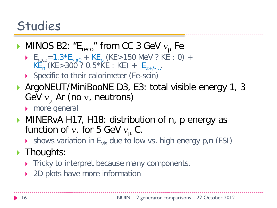#### Studies

- MINOS B2: " $E_{reco}$ " from CC 3 GeV  $v_{\mu}$  Fe
	- E<sub>reco</sub>=1.3\*E<sub>γ,π0</sub> + KE<sub>p</sub> (KE>150 MeV ? KE : 0) +  $KE_n$  (KE>300 ? 0.5\*KE : KE) +  $E_{n+/-}$ .
	- ▶ Specific to their calorimeter (Fe-scin)
- ▶ ArgoNEUT/MiniBooNE D3, E3: total visible energy 1, 3 GeV  $v_\mu$  Ar (no v, neutrons)
	- **More general**
- **MINERVA H17, H18: distribution of n, p energy as** function of v. for 5 GeV  $v_\mu$  C.
	- $\triangleright$  shows variation in  $E_{vis}$  due to low vs. high energy p,n (FSI)
- $\blacktriangleright$  Thoughts:
	- Tricky to interpret because many components.
	- ▶ 2D plots have more information